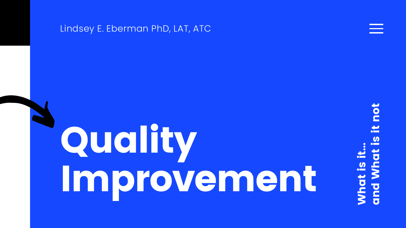#### Lindsey E. Eberman PhD, LAT, ATC

#### and What is it notpo U) What is it... That **Poup**

## Quality Improvement

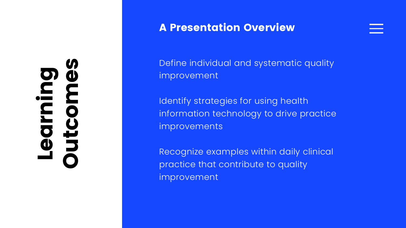# Learning Outcomes

Define individual and systematic quality improvement

Identify strategies for using health information technology to drive practice improvements

Recognize examples within daily clinical practice that contribute to quality improvement



#### A Presentation Overview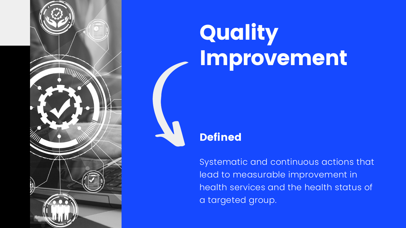

## Quality Improvement

Systematic and continuous actions that lead to measurable improvement in health services and the health status of a targeted group.

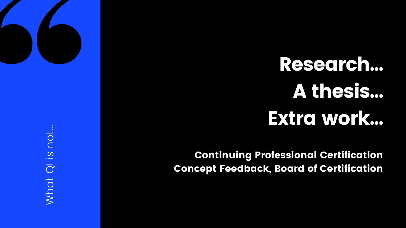Continuing Professional Certification Concept Feedback, Board of Certification



## Research... A thesis... Extra work...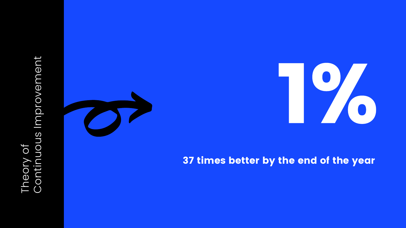## Theory of<br>Continuous Improvement Continuous Improvement



#### 37 times better by the end of the year

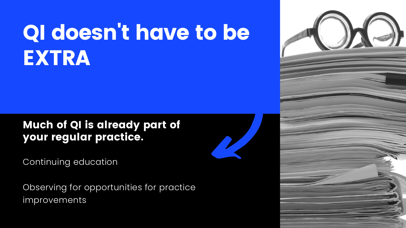## QI doesn't have to be EXTRA

Continuing education

Observing for opportunities for practice improvements



#### Much of QI is already part of your regular practice.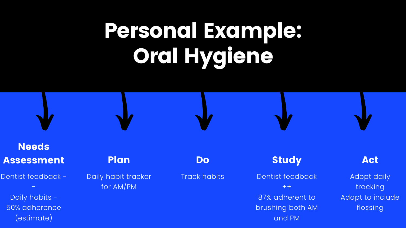## Personal Example: Oral Hygiene

#### Study

#### Dentist feedback  $++$ 87% adherent to brushing both AM and PM

#### Do

Track habits

#### Needs Assessment

Dentist feedback -

-

Daily habits - 50% adherence (estimate)

#### Act

Adopt daily tracking Adapt to include flossing

Plan

Daily habit tracker for AM/PM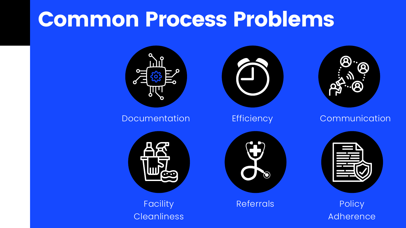#### **Policy** Adherence

## Common Process Problems





Facility Referrals **Cleanliness** 









#### Documentation Efficiency Communication

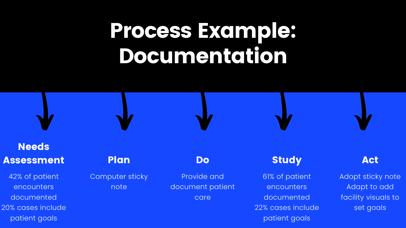## Process Example: Documentation

#### Study

61% of patient encounters documented 22% cases include patient goals

#### Do

Provide and document patient care

#### Needs Assessment

42% of patient encounters documented 20% cases include patient goals

#### Act

Adopt sticky note Adapt to add facility visuals to set goals

#### Plan

Computer sticky note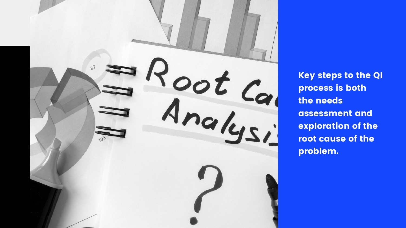

process is both the needs assessment and exploration of the root cause of the problem.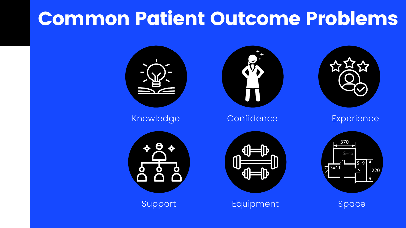### Common Patient Outcome Problems





Knowledge Confidence Experience



Support Equipment Space





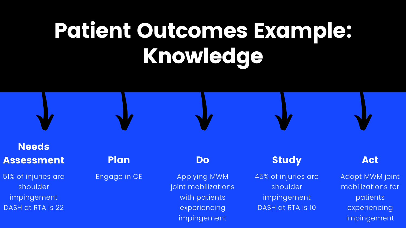## Patient Outcomes Example: Knowledge

#### Study

45% of injuries are shoulder impingement DASH at RTA is 10

51% of injuries are shoulder impingement DASH at RTA is 22

#### Do

Applying MWM joint mobilizations with patients experiencing impingement

#### Needs Assessment

#### Act

Adopt MWM joint mobilizations for patients experiencing impingement

#### Plan

#### Engage in CE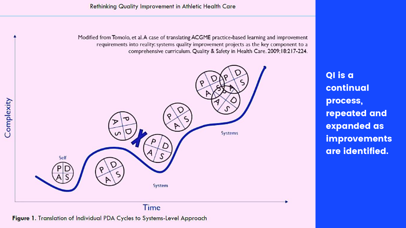



Figure 1. Translation of Individual PDA Cycles to Systems-Level Approach



QI is a continual process, repeated and expanded as improvements are identified.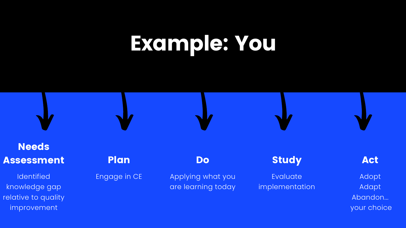## Example: You



Evaluate implementation

#### **Needs** Assessment

Applying what you are learning today



**Identified** knowledge gap relative to quality improvement

#### Act

Adopt Adapt Abandon... your choice

#### Plan

Engage in CE

#### **Do**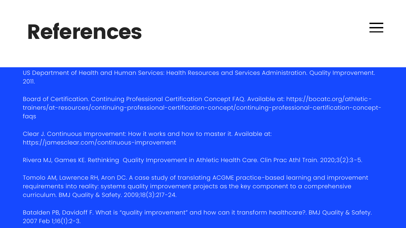US Department of Health and Human Services: Health Resources and Services Administration. Quality Improvement. 2011.

Board of Certification. Continuing Professional Certification Concept FAQ. Available at: https://bocatc.org/athletictrainers/at-resources/continuing-professional-certification-concept/continuing-professional-certification-conceptfaqs

Clear J. Continuous Improvement: How it works and how to master it. Available at: https://jamesclear.com/continuous-improvement

Rivera MJ, Games KE. Rethinking Quality Improvement in Athletic Health Care. Clin Prac Athl Train. 2020;3(2):3-5.

Tomolo AM, Lawrence RH, Aron DC. A case study of translating ACGME practice-based learning and improvement requirements into reality: systems quality improvement projects as the key component to a comprehensive curriculum. BMJ Quality & Safety. 2009;18(3):217-24.

Batalden PB, Davidoff F. What is "quality improvement" and how can it transform healthcare?. BMJ Quality & Safety. 2007 Feb 1;16(1):2-3.

## References